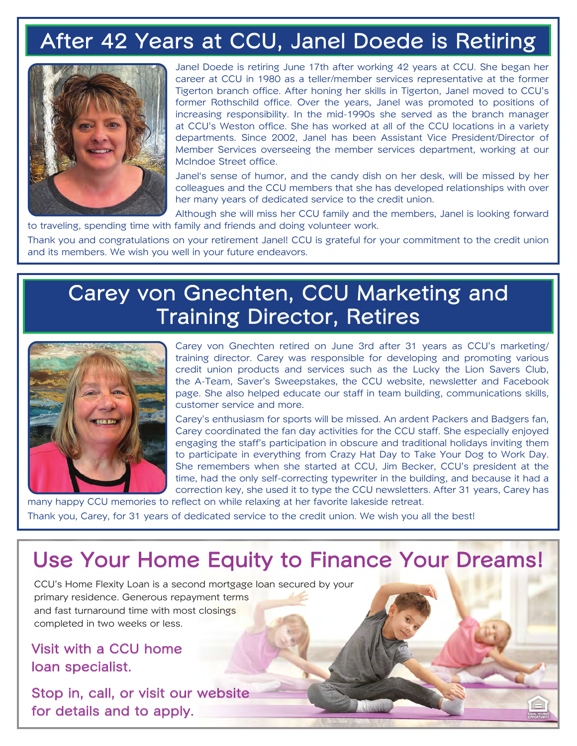# After 42 Years at CCU, Janel Doede is Retiring



Janel Doede is retiring June 17th after working 42 years at CCU. She began her career at CCU in 1980 as a teller/member services representative at the former Tigerton branch office. After honing her skills in Tigerton, Janel moved to CCU's former Rothschild office. Over the years, Janel was promoted to positions of increasing responsibility. In the mid-1990s she served as the branch manager at CCU's Weston office. She has worked at all of the CCU locations in a variety departments. Since 2002, Janel has been Assistant Vice President/Director of Member Services overseeing the member services department, working at our McIndoe Street office.

Janel's sense of humor, and the candy dish on her desk, will be missed by her colleagues and the CCU members that she has developed relationships with over her many years of dedicated service to the credit union.

Although she will miss her CCU family and the members, Janel is looking forward to traveling, spending time with family and friends and doing volunteer work.

Thank you and congratulations on your retirement Janel! CCU is grateful for your commitment to the credit union and its members. We wish you well in your future endeavors.

### Carey von Gnechten, CCU Marketing and Training Director, Retires



Carey von Gnechten retired on June 3rd after 31 years as CCU's marketing/ training director. Carey was responsible for developing and promoting various credit union products and services such as the Lucky the Lion Savers Club, the A-Team, Saver's Sweepstakes, the CCU website, newsletter and Facebook page. She also helped educate our staff in team building, communications skills, customer service and more.

Carey's enthusiasm for sports will be missed. An ardent Packers and Badgers fan, Carey coordinated the fan day activities for the CCU staff. She especially enjoyed engaging the staff's participation in obscure and traditional holidays inviting them to participate in everything from Crazy Hat Day to Take Your Dog to Work Day. She remembers when she started at CCU, Jim Becker, CCU's president at the time, had the only self-correcting typewriter in the building, and because it had a correction key, she used it to type the CCU newsletters. After 31 years, Carey has

many happy CCU memories to reflect on while relaxing at her favorite lakeside retreat. Thank you, Carey, for 31 years of dedicated service to the credit union. We wish you all the best!

## Use Your Home Equity to Finance Your Dreams!

CCU's Home Flexity Loan is a second mortgage loan secured by your primary residence. Generous repayment terms and fast turnaround time with most closings completed in two weeks or less.

Visit with a CCU home loan specialist.

Stop in, call, or visit our website for details and to apply.